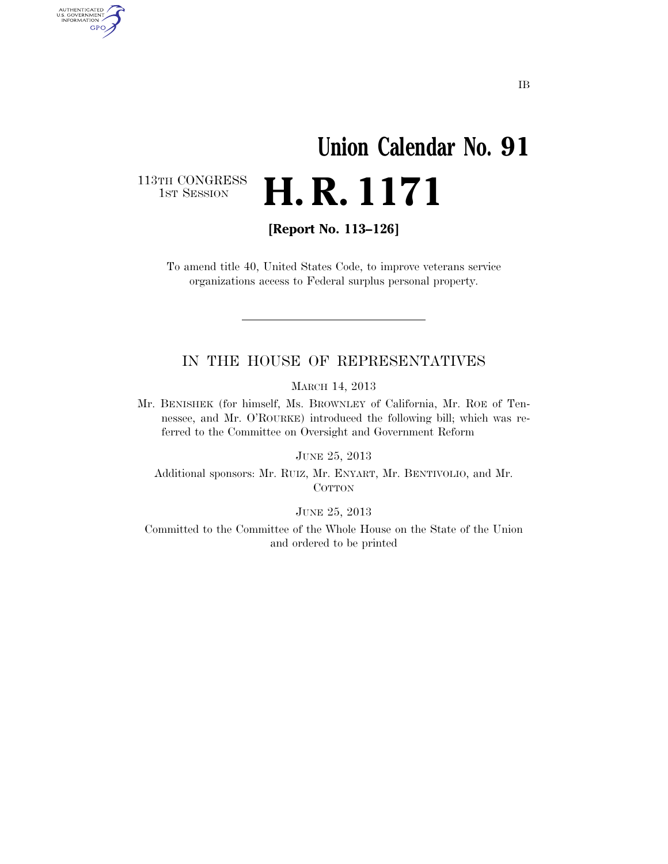## **Union Calendar No. 91**  H. R. 1171

113TH CONGRESS<br>1st Session

AUTHENTICATED<br>U.S. GOVERNMENT<br>INFORMATION GPO

**[Report No. 113–126]** 

To amend title 40, United States Code, to improve veterans service organizations access to Federal surplus personal property.

## IN THE HOUSE OF REPRESENTATIVES

MARCH 14, 2013

Mr. BENISHEK (for himself, Ms. BROWNLEY of California, Mr. ROE of Tennessee, and Mr. O'ROURKE) introduced the following bill; which was referred to the Committee on Oversight and Government Reform

JUNE 25, 2013

Additional sponsors: Mr. RUIZ, Mr. ENYART, Mr. BENTIVOLIO, and Mr. **COTTON** 

JUNE 25, 2013

Committed to the Committee of the Whole House on the State of the Union and ordered to be printed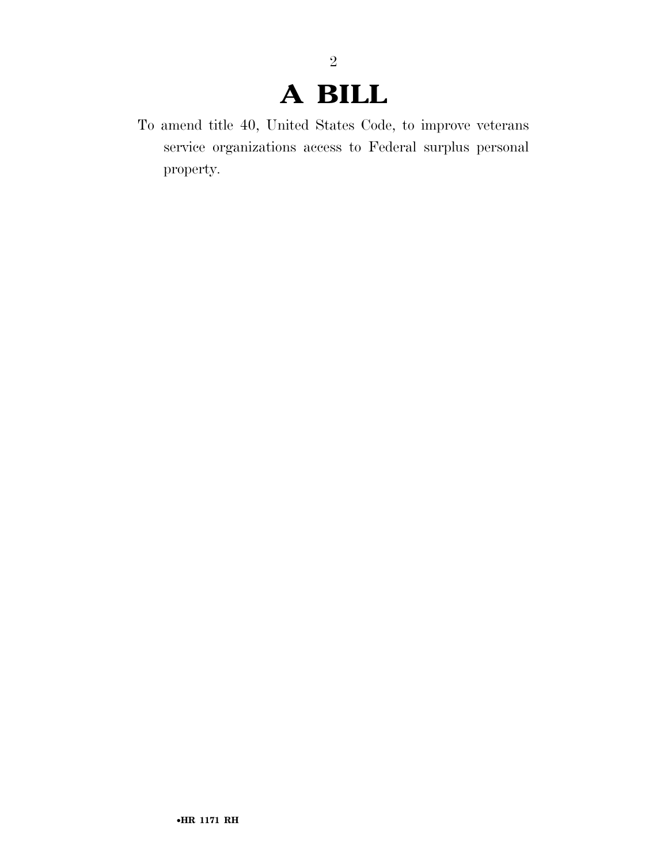## **A BILL**

2

To amend title 40, United States Code, to improve veterans service organizations access to Federal surplus personal property.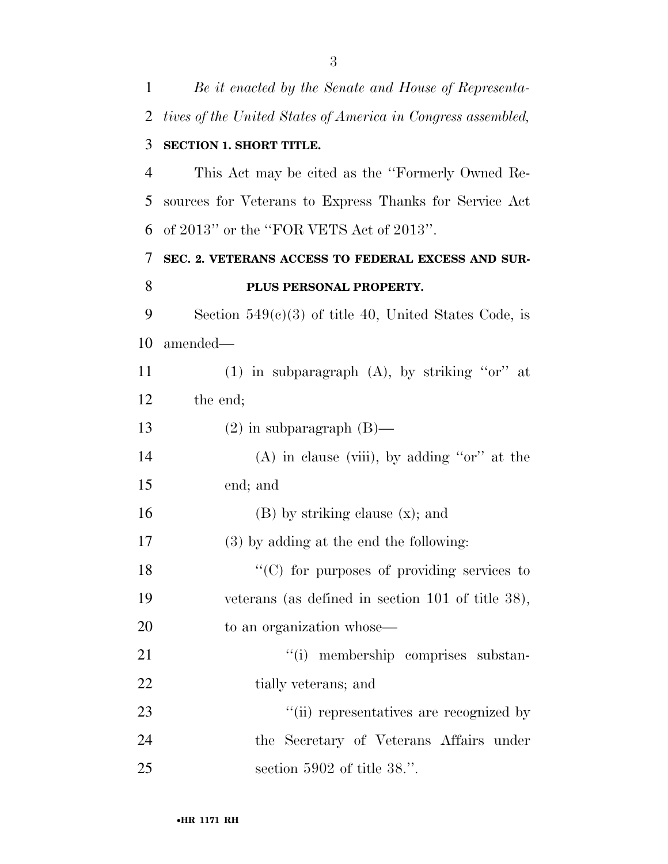| 1  | Be it enacted by the Senate and House of Representa-         |
|----|--------------------------------------------------------------|
| 2  | tives of the United States of America in Congress assembled, |
| 3  | <b>SECTION 1. SHORT TITLE.</b>                               |
| 4  | This Act may be cited as the "Formerly Owned Re-             |
| 5  | sources for Veterans to Express Thanks for Service Act       |
| 6  | of 2013" or the "FOR VETS Act of 2013".                      |
| 7  | SEC. 2. VETERANS ACCESS TO FEDERAL EXCESS AND SUR-           |
| 8  | PLUS PERSONAL PROPERTY.                                      |
| 9  | Section $549(c)(3)$ of title 40, United States Code, is      |
| 10 | amended-                                                     |
| 11 | (1) in subparagraph $(A)$ , by striking "or" at              |
| 12 | the end;                                                     |
| 13 | $(2)$ in subparagraph $(B)$ —                                |
| 14 | $(A)$ in clause (viii), by adding "or" at the                |
| 15 | end; and                                                     |
| 16 | $(B)$ by striking clause $(x)$ ; and                         |
| 17 | $(3)$ by adding at the end the following:                    |
| 18 | "(C) for purposes of providing services to                   |
| 19 | veterans (as defined in section $101$ of title 38),          |
| 20 | to an organization whose—                                    |
| 21 | "(i) membership comprises substan-                           |
| 22 | tially veterans; and                                         |
| 23 | "(ii) representatives are recognized by                      |
| 24 | the Secretary of Veterans Affairs under                      |
| 25 | section $5902$ of title 38.".                                |